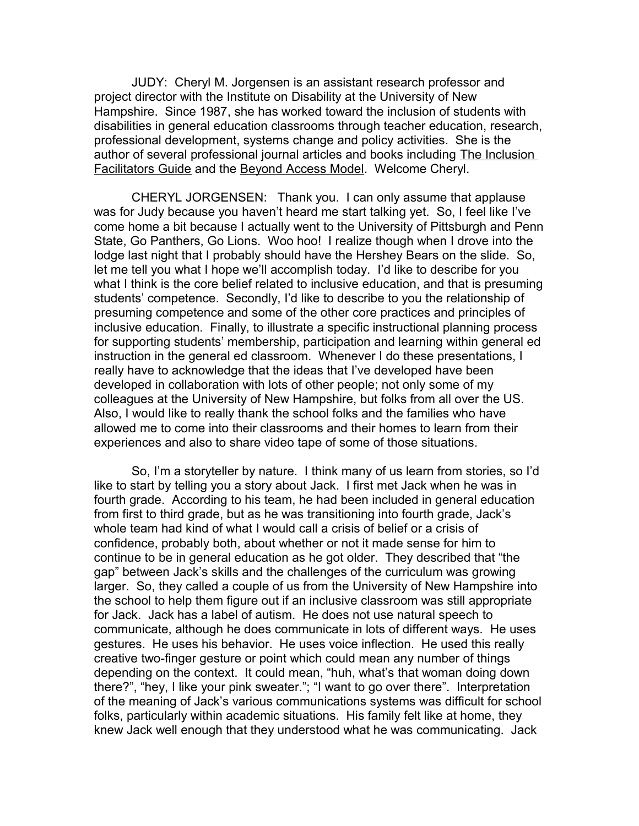JUDY: Cheryl M. Jorgensen is an assistant research professor and project director with the Institute on Disability at the University of New Hampshire. Since 1987, she has worked toward the inclusion of students with disabilities in general education classrooms through teacher education, research, professional development, systems change and policy activities. She is the author of several professional journal articles and books including The Inclusion Facilitators Guide and the Beyond Access Model. Welcome Cheryl.

CHERYL JORGENSEN: Thank you. I can only assume that applause was for Judy because you haven't heard me start talking yet. So, I feel like I've come home a bit because I actually went to the University of Pittsburgh and Penn State, Go Panthers, Go Lions. Woo hoo! I realize though when I drove into the lodge last night that I probably should have the Hershey Bears on the slide. So, let me tell you what I hope we'll accomplish today. I'd like to describe for you what I think is the core belief related to inclusive education, and that is presuming students' competence. Secondly, I'd like to describe to you the relationship of presuming competence and some of the other core practices and principles of inclusive education. Finally, to illustrate a specific instructional planning process for supporting students' membership, participation and learning within general ed instruction in the general ed classroom. Whenever I do these presentations, I really have to acknowledge that the ideas that I've developed have been developed in collaboration with lots of other people; not only some of my colleagues at the University of New Hampshire, but folks from all over the US. Also, I would like to really thank the school folks and the families who have allowed me to come into their classrooms and their homes to learn from their experiences and also to share video tape of some of those situations.

So, I'm a storyteller by nature. I think many of us learn from stories, so I'd like to start by telling you a story about Jack. I first met Jack when he was in fourth grade. According to his team, he had been included in general education from first to third grade, but as he was transitioning into fourth grade, Jack's whole team had kind of what I would call a crisis of belief or a crisis of confidence, probably both, about whether or not it made sense for him to continue to be in general education as he got older. They described that "the gap" between Jack's skills and the challenges of the curriculum was growing larger. So, they called a couple of us from the University of New Hampshire into the school to help them figure out if an inclusive classroom was still appropriate for Jack. Jack has a label of autism. He does not use natural speech to communicate, although he does communicate in lots of different ways. He uses gestures. He uses his behavior. He uses voice inflection. He used this really creative two-finger gesture or point which could mean any number of things depending on the context. It could mean, "huh, what's that woman doing down there?", "hey, I like your pink sweater."; "I want to go over there". Interpretation of the meaning of Jack's various communications systems was difficult for school folks, particularly within academic situations. His family felt like at home, they knew Jack well enough that they understood what he was communicating. Jack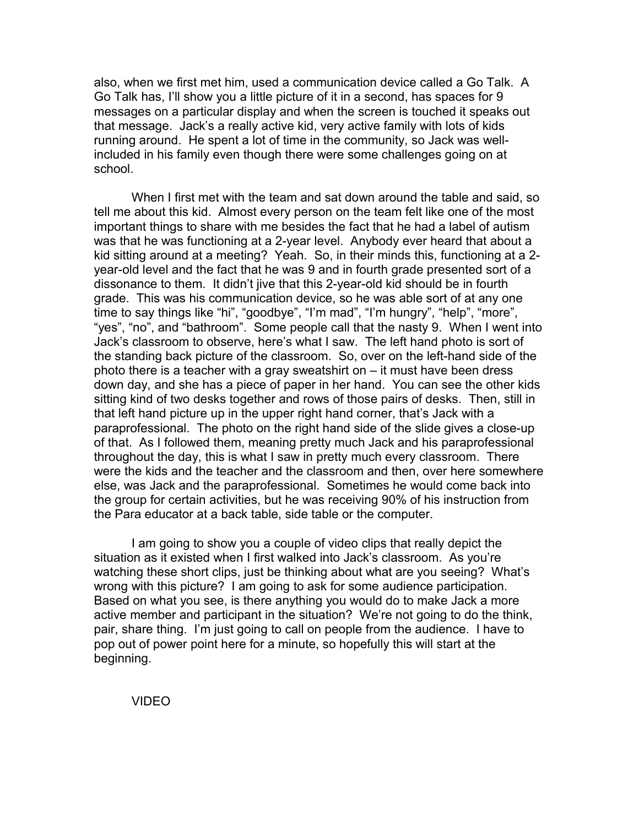also, when we first met him, used a communication device called a Go Talk. A Go Talk has, I'll show you a little picture of it in a second, has spaces for 9 messages on a particular display and when the screen is touched it speaks out that message. Jack's a really active kid, very active family with lots of kids running around. He spent a lot of time in the community, so Jack was wellincluded in his family even though there were some challenges going on at school.

When I first met with the team and sat down around the table and said, so tell me about this kid. Almost every person on the team felt like one of the most important things to share with me besides the fact that he had a label of autism was that he was functioning at a 2-year level. Anybody ever heard that about a kid sitting around at a meeting? Yeah. So, in their minds this, functioning at a 2 year-old level and the fact that he was 9 and in fourth grade presented sort of a dissonance to them. It didn't jive that this 2-year-old kid should be in fourth grade. This was his communication device, so he was able sort of at any one time to say things like "hi", "goodbye", "I'm mad", "I'm hungry", "help", "more", "yes", "no", and "bathroom". Some people call that the nasty 9. When I went into Jack's classroom to observe, here's what I saw. The left hand photo is sort of the standing back picture of the classroom. So, over on the left-hand side of the photo there is a teacher with a gray sweatshirt on – it must have been dress down day, and she has a piece of paper in her hand. You can see the other kids sitting kind of two desks together and rows of those pairs of desks. Then, still in that left hand picture up in the upper right hand corner, that's Jack with a paraprofessional. The photo on the right hand side of the slide gives a close-up of that. As I followed them, meaning pretty much Jack and his paraprofessional throughout the day, this is what I saw in pretty much every classroom. There were the kids and the teacher and the classroom and then, over here somewhere else, was Jack and the paraprofessional. Sometimes he would come back into the group for certain activities, but he was receiving 90% of his instruction from the Para educator at a back table, side table or the computer.

I am going to show you a couple of video clips that really depict the situation as it existed when I first walked into Jack's classroom. As you're watching these short clips, just be thinking about what are you seeing? What's wrong with this picture? I am going to ask for some audience participation. Based on what you see, is there anything you would do to make Jack a more active member and participant in the situation? We're not going to do the think, pair, share thing. I'm just going to call on people from the audience. I have to pop out of power point here for a minute, so hopefully this will start at the beginning.

VIDEO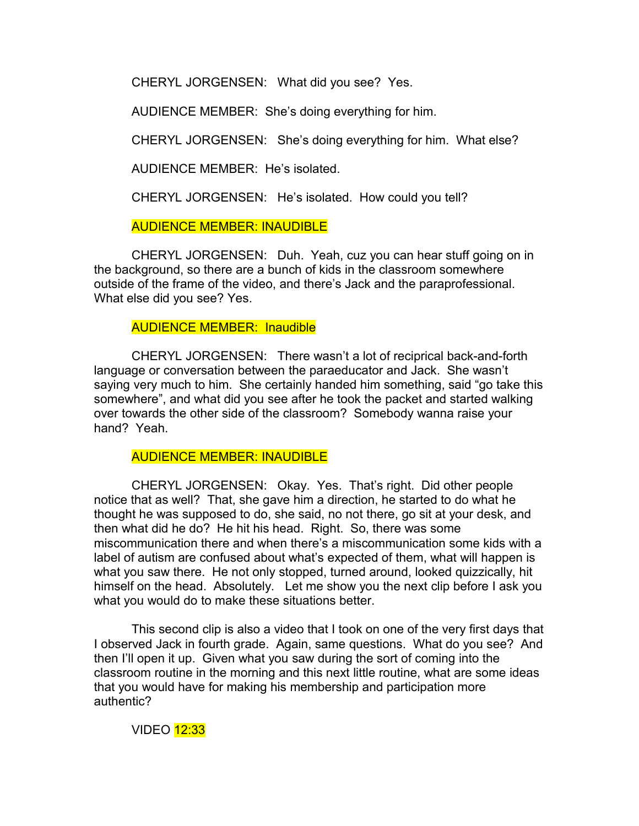CHERYL JORGENSEN: What did you see? Yes.

AUDIENCE MEMBER: She's doing everything for him.

CHERYL JORGENSEN: She's doing everything for him. What else?

AUDIENCE MEMBER: He's isolated.

CHERYL JORGENSEN: He's isolated. How could you tell?

# AUDIENCE MEMBER: INAUDIBLE

CHERYL JORGENSEN: Duh. Yeah, cuz you can hear stuff going on in the background, so there are a bunch of kids in the classroom somewhere outside of the frame of the video, and there's Jack and the paraprofessional. What else did you see? Yes.

# AUDIENCE MEMBER: Inaudible

CHERYL JORGENSEN: There wasn't a lot of reciprical back-and-forth language or conversation between the paraeducator and Jack. She wasn't saying very much to him. She certainly handed him something, said "go take this somewhere", and what did you see after he took the packet and started walking over towards the other side of the classroom? Somebody wanna raise your hand? Yeah.

# AUDIENCE MEMBER: INAUDIBLE

CHERYL JORGENSEN: Okay. Yes. That's right. Did other people notice that as well? That, she gave him a direction, he started to do what he thought he was supposed to do, she said, no not there, go sit at your desk, and then what did he do? He hit his head. Right. So, there was some miscommunication there and when there's a miscommunication some kids with a label of autism are confused about what's expected of them, what will happen is what you saw there. He not only stopped, turned around, looked quizzically, hit himself on the head. Absolutely. Let me show you the next clip before I ask you what you would do to make these situations better.

This second clip is also a video that I took on one of the very first days that I observed Jack in fourth grade. Again, same questions. What do you see? And then I'll open it up. Given what you saw during the sort of coming into the classroom routine in the morning and this next little routine, what are some ideas that you would have for making his membership and participation more authentic?

# VIDEO **12:33**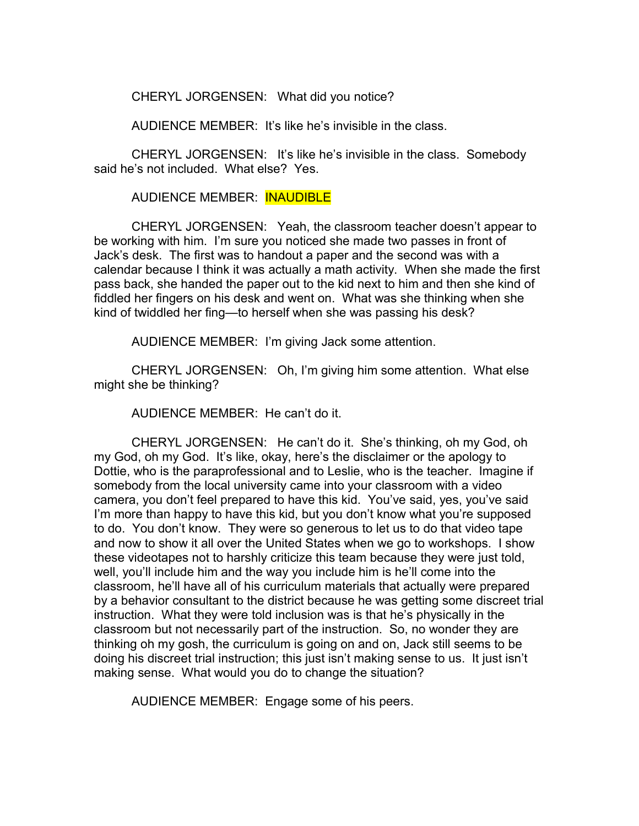CHERYL JORGENSEN: What did you notice?

AUDIENCE MEMBER: It's like he's invisible in the class.

CHERYL JORGENSEN: It's like he's invisible in the class. Somebody said he's not included. What else? Yes.

### AUDIENCE MEMBER: INAUDIBLE

CHERYL JORGENSEN: Yeah, the classroom teacher doesn't appear to be working with him. I'm sure you noticed she made two passes in front of Jack's desk. The first was to handout a paper and the second was with a calendar because I think it was actually a math activity. When she made the first pass back, she handed the paper out to the kid next to him and then she kind of fiddled her fingers on his desk and went on. What was she thinking when she kind of twiddled her fing—to herself when she was passing his desk?

AUDIENCE MEMBER: I'm giving Jack some attention.

CHERYL JORGENSEN: Oh, I'm giving him some attention. What else might she be thinking?

AUDIENCE MEMBER: He can't do it.

CHERYL JORGENSEN: He can't do it. She's thinking, oh my God, oh my God, oh my God. It's like, okay, here's the disclaimer or the apology to Dottie, who is the paraprofessional and to Leslie, who is the teacher. Imagine if somebody from the local university came into your classroom with a video camera, you don't feel prepared to have this kid. You've said, yes, you've said I'm more than happy to have this kid, but you don't know what you're supposed to do. You don't know. They were so generous to let us to do that video tape and now to show it all over the United States when we go to workshops. I show these videotapes not to harshly criticize this team because they were just told, well, you'll include him and the way you include him is he'll come into the classroom, he'll have all of his curriculum materials that actually were prepared by a behavior consultant to the district because he was getting some discreet trial instruction. What they were told inclusion was is that he's physically in the classroom but not necessarily part of the instruction. So, no wonder they are thinking oh my gosh, the curriculum is going on and on, Jack still seems to be doing his discreet trial instruction; this just isn't making sense to us. It just isn't making sense. What would you do to change the situation?

AUDIENCE MEMBER: Engage some of his peers.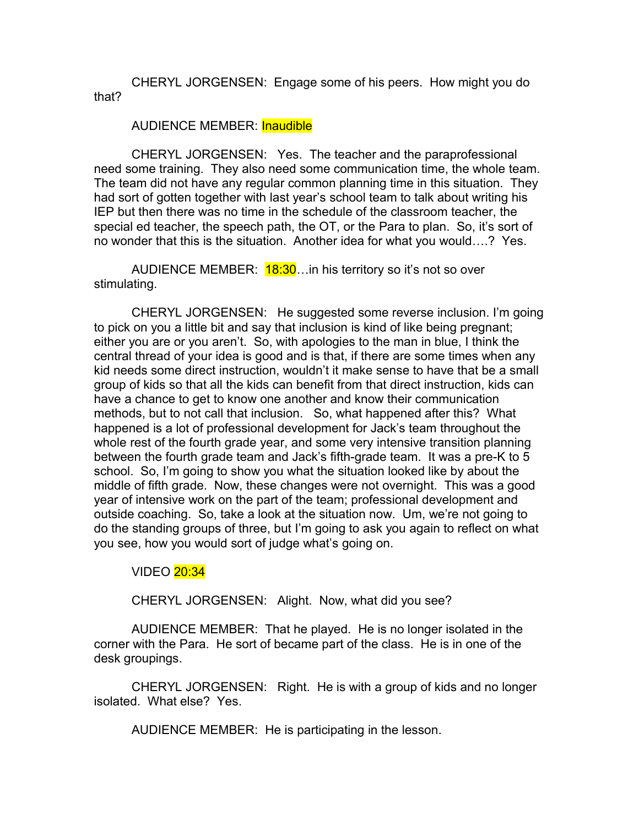CHERYL JORGENSEN: Engage some of his peers. How might you do that?

### AUDIENCE MEMBER: Inaudible

CHERYL JORGENSEN: Yes. The teacher and the paraprofessional need some training. They also need some communication time, the whole team. The team did not have any regular common planning time in this situation. They had sort of gotten together with last year's school team to talk about writing his IEP but then there was no time in the schedule of the classroom teacher, the special ed teacher, the speech path, the OT, or the Para to plan. So, it's sort of no wonder that this is the situation. Another idea for what you would….? Yes.

AUDIENCE MEMBER: 18:30... in his territory so it's not so over stimulating.

CHERYL JORGENSEN: He suggested some reverse inclusion. I'm going to pick on you a little bit and say that inclusion is kind of like being pregnant; either you are or you aren't. So, with apologies to the man in blue, I think the central thread of your idea is good and is that, if there are some times when any kid needs some direct instruction, wouldn't it make sense to have that be a small group of kids so that all the kids can benefit from that direct instruction, kids can have a chance to get to know one another and know their communication methods, but to not call that inclusion. So, what happened after this? What happened is a lot of professional development for Jack's team throughout the whole rest of the fourth grade year, and some very intensive transition planning between the fourth grade team and Jack's fifth-grade team. It was a pre-K to 5 school. So, I'm going to show you what the situation looked like by about the middle of fifth grade. Now, these changes were not overnight. This was a good year of intensive work on the part of the team; professional development and outside coaching. So, take a look at the situation now. Um, we're not going to do the standing groups of three, but I'm going to ask you again to reflect on what you see, how you would sort of judge what's going on.

# VIDEO 20:34

CHERYL JORGENSEN: Alight. Now, what did you see?

AUDIENCE MEMBER: That he played. He is no longer isolated in the corner with the Para. He sort of became part of the class. He is in one of the desk groupings.

CHERYL JORGENSEN: Right. He is with a group of kids and no longer isolated. What else? Yes.

AUDIENCE MEMBER: He is participating in the lesson.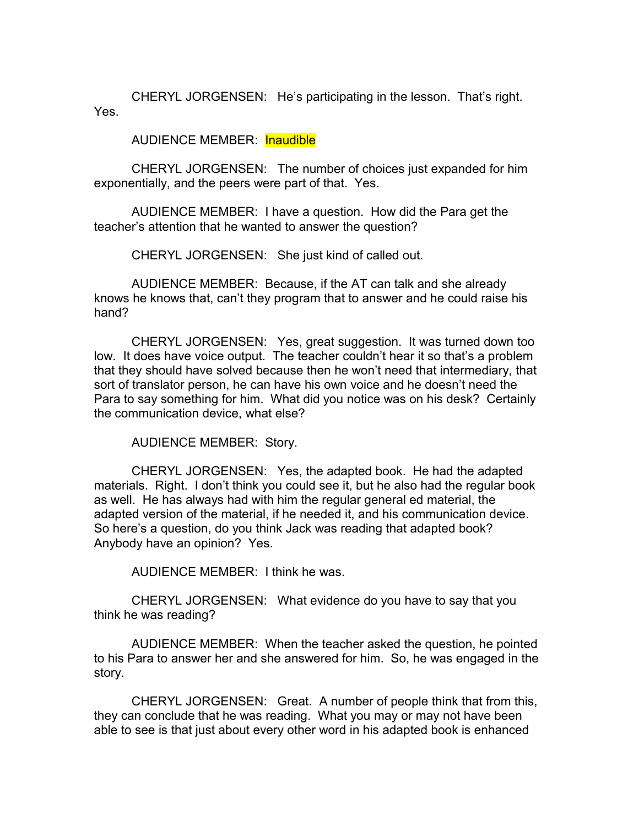CHERYL JORGENSEN: He's participating in the lesson. That's right. Yes.

AUDIENCE MEMBER: Inaudible

CHERYL JORGENSEN: The number of choices just expanded for him exponentially, and the peers were part of that. Yes.

AUDIENCE MEMBER: I have a question. How did the Para get the teacher's attention that he wanted to answer the question?

CHERYL JORGENSEN: She just kind of called out.

AUDIENCE MEMBER: Because, if the AT can talk and she already knows he knows that, can't they program that to answer and he could raise his hand?

CHERYL JORGENSEN: Yes, great suggestion. It was turned down too low. It does have voice output. The teacher couldn't hear it so that's a problem that they should have solved because then he won't need that intermediary, that sort of translator person, he can have his own voice and he doesn't need the Para to say something for him. What did you notice was on his desk? Certainly the communication device, what else?

AUDIENCE MEMBER: Story.

CHERYL JORGENSEN: Yes, the adapted book. He had the adapted materials. Right. I don't think you could see it, but he also had the regular book as well. He has always had with him the regular general ed material, the adapted version of the material, if he needed it, and his communication device. So here's a question, do you think Jack was reading that adapted book? Anybody have an opinion? Yes.

AUDIENCE MEMBER: I think he was.

CHERYL JORGENSEN: What evidence do you have to say that you think he was reading?

AUDIENCE MEMBER: When the teacher asked the question, he pointed to his Para to answer her and she answered for him. So, he was engaged in the story.

CHERYL JORGENSEN: Great. A number of people think that from this, they can conclude that he was reading. What you may or may not have been able to see is that just about every other word in his adapted book is enhanced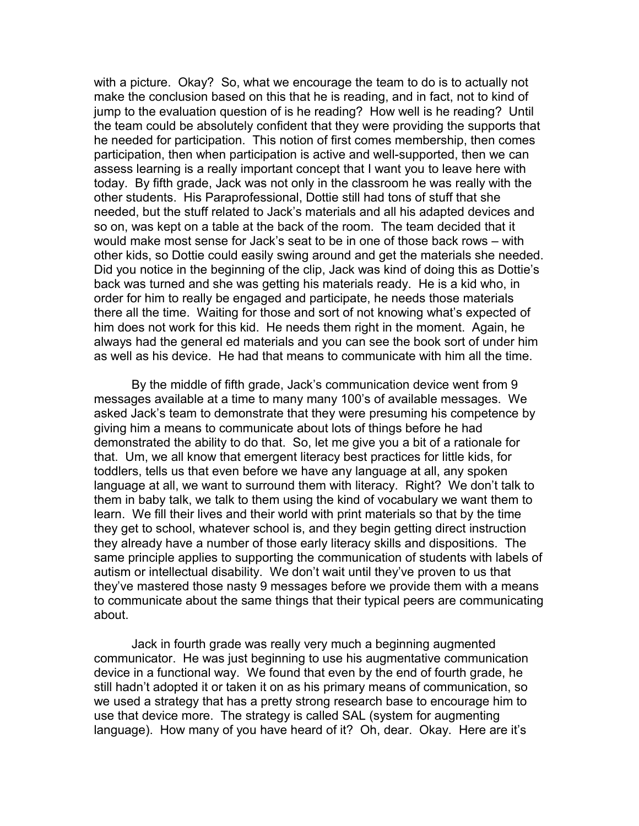with a picture. Okay? So, what we encourage the team to do is to actually not make the conclusion based on this that he is reading, and in fact, not to kind of jump to the evaluation question of is he reading? How well is he reading? Until the team could be absolutely confident that they were providing the supports that he needed for participation. This notion of first comes membership, then comes participation, then when participation is active and well-supported, then we can assess learning is a really important concept that I want you to leave here with today. By fifth grade, Jack was not only in the classroom he was really with the other students. His Paraprofessional, Dottie still had tons of stuff that she needed, but the stuff related to Jack's materials and all his adapted devices and so on, was kept on a table at the back of the room. The team decided that it would make most sense for Jack's seat to be in one of those back rows – with other kids, so Dottie could easily swing around and get the materials she needed. Did you notice in the beginning of the clip, Jack was kind of doing this as Dottie's back was turned and she was getting his materials ready. He is a kid who, in order for him to really be engaged and participate, he needs those materials there all the time. Waiting for those and sort of not knowing what's expected of him does not work for this kid. He needs them right in the moment. Again, he always had the general ed materials and you can see the book sort of under him as well as his device. He had that means to communicate with him all the time.

By the middle of fifth grade, Jack's communication device went from 9 messages available at a time to many many 100's of available messages. We asked Jack's team to demonstrate that they were presuming his competence by giving him a means to communicate about lots of things before he had demonstrated the ability to do that. So, let me give you a bit of a rationale for that. Um, we all know that emergent literacy best practices for little kids, for toddlers, tells us that even before we have any language at all, any spoken language at all, we want to surround them with literacy. Right? We don't talk to them in baby talk, we talk to them using the kind of vocabulary we want them to learn. We fill their lives and their world with print materials so that by the time they get to school, whatever school is, and they begin getting direct instruction they already have a number of those early literacy skills and dispositions. The same principle applies to supporting the communication of students with labels of autism or intellectual disability. We don't wait until they've proven to us that they've mastered those nasty 9 messages before we provide them with a means to communicate about the same things that their typical peers are communicating about.

Jack in fourth grade was really very much a beginning augmented communicator. He was just beginning to use his augmentative communication device in a functional way. We found that even by the end of fourth grade, he still hadn't adopted it or taken it on as his primary means of communication, so we used a strategy that has a pretty strong research base to encourage him to use that device more. The strategy is called SAL (system for augmenting language). How many of you have heard of it? Oh, dear. Okay. Here are it's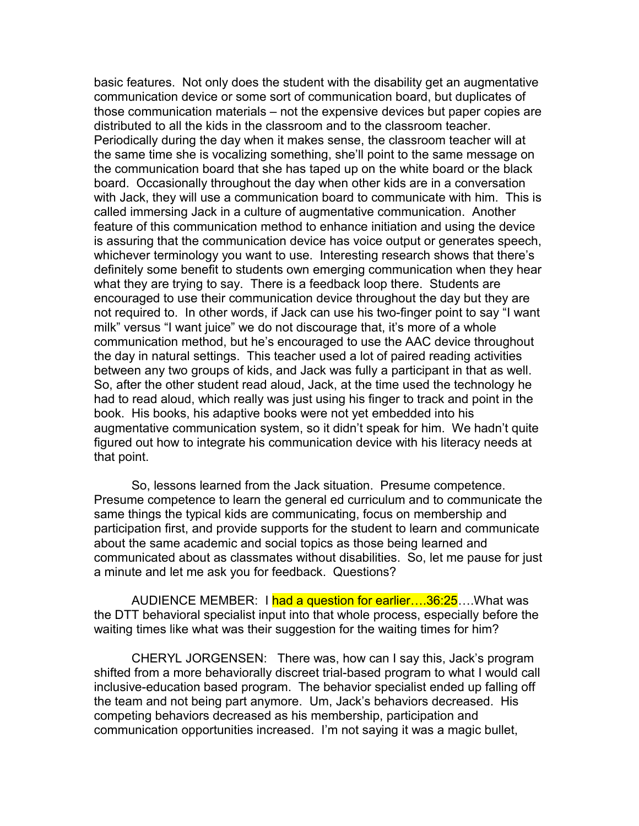basic features. Not only does the student with the disability get an augmentative communication device or some sort of communication board, but duplicates of those communication materials – not the expensive devices but paper copies are distributed to all the kids in the classroom and to the classroom teacher. Periodically during the day when it makes sense, the classroom teacher will at the same time she is vocalizing something, she'll point to the same message on the communication board that she has taped up on the white board or the black board. Occasionally throughout the day when other kids are in a conversation with Jack, they will use a communication board to communicate with him. This is called immersing Jack in a culture of augmentative communication. Another feature of this communication method to enhance initiation and using the device is assuring that the communication device has voice output or generates speech, whichever terminology you want to use. Interesting research shows that there's definitely some benefit to students own emerging communication when they hear what they are trying to say. There is a feedback loop there. Students are encouraged to use their communication device throughout the day but they are not required to. In other words, if Jack can use his two-finger point to say "I want milk" versus "I want juice" we do not discourage that, it's more of a whole communication method, but he's encouraged to use the AAC device throughout the day in natural settings. This teacher used a lot of paired reading activities between any two groups of kids, and Jack was fully a participant in that as well. So, after the other student read aloud, Jack, at the time used the technology he had to read aloud, which really was just using his finger to track and point in the book. His books, his adaptive books were not yet embedded into his augmentative communication system, so it didn't speak for him. We hadn't quite figured out how to integrate his communication device with his literacy needs at that point.

So, lessons learned from the Jack situation. Presume competence. Presume competence to learn the general ed curriculum and to communicate the same things the typical kids are communicating, focus on membership and participation first, and provide supports for the student to learn and communicate about the same academic and social topics as those being learned and communicated about as classmates without disabilities. So, let me pause for just a minute and let me ask you for feedback. Questions?

AUDIENCE MEMBER: I had a question for earlier....36:25.... What was the DTT behavioral specialist input into that whole process, especially before the waiting times like what was their suggestion for the waiting times for him?

CHERYL JORGENSEN: There was, how can I say this, Jack's program shifted from a more behaviorally discreet trial-based program to what I would call inclusive-education based program. The behavior specialist ended up falling off the team and not being part anymore. Um, Jack's behaviors decreased. His competing behaviors decreased as his membership, participation and communication opportunities increased. I'm not saying it was a magic bullet,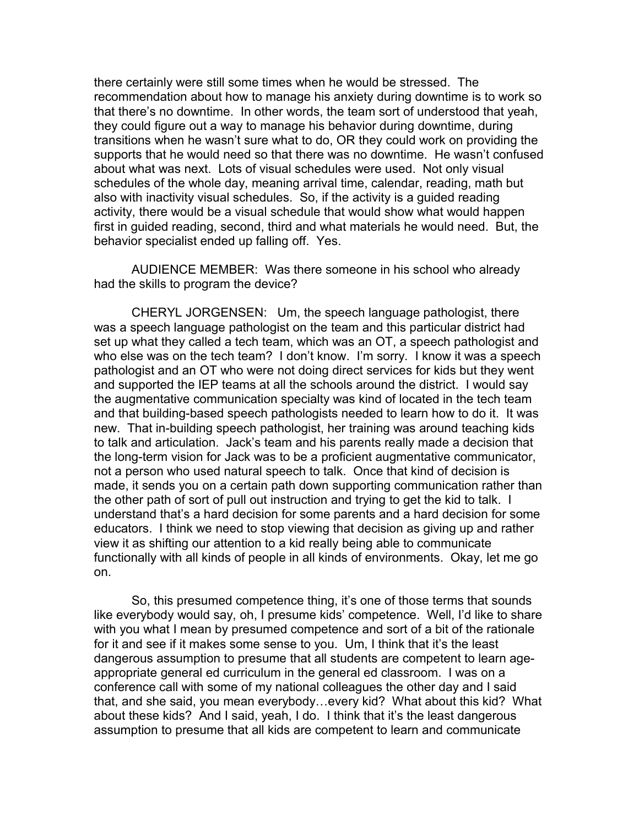there certainly were still some times when he would be stressed. The recommendation about how to manage his anxiety during downtime is to work so that there's no downtime. In other words, the team sort of understood that yeah, they could figure out a way to manage his behavior during downtime, during transitions when he wasn't sure what to do, OR they could work on providing the supports that he would need so that there was no downtime. He wasn't confused about what was next. Lots of visual schedules were used. Not only visual schedules of the whole day, meaning arrival time, calendar, reading, math but also with inactivity visual schedules. So, if the activity is a guided reading activity, there would be a visual schedule that would show what would happen first in guided reading, second, third and what materials he would need. But, the behavior specialist ended up falling off. Yes.

AUDIENCE MEMBER: Was there someone in his school who already had the skills to program the device?

CHERYL JORGENSEN: Um, the speech language pathologist, there was a speech language pathologist on the team and this particular district had set up what they called a tech team, which was an OT, a speech pathologist and who else was on the tech team? I don't know. I'm sorry. I know it was a speech pathologist and an OT who were not doing direct services for kids but they went and supported the IEP teams at all the schools around the district. I would say the augmentative communication specialty was kind of located in the tech team and that building-based speech pathologists needed to learn how to do it. It was new. That in-building speech pathologist, her training was around teaching kids to talk and articulation. Jack's team and his parents really made a decision that the long-term vision for Jack was to be a proficient augmentative communicator, not a person who used natural speech to talk. Once that kind of decision is made, it sends you on a certain path down supporting communication rather than the other path of sort of pull out instruction and trying to get the kid to talk. I understand that's a hard decision for some parents and a hard decision for some educators. I think we need to stop viewing that decision as giving up and rather view it as shifting our attention to a kid really being able to communicate functionally with all kinds of people in all kinds of environments. Okay, let me go on.

So, this presumed competence thing, it's one of those terms that sounds like everybody would say, oh, I presume kids' competence. Well, I'd like to share with you what I mean by presumed competence and sort of a bit of the rationale for it and see if it makes some sense to you. Um, I think that it's the least dangerous assumption to presume that all students are competent to learn ageappropriate general ed curriculum in the general ed classroom. I was on a conference call with some of my national colleagues the other day and I said that, and she said, you mean everybody…every kid? What about this kid? What about these kids? And I said, yeah, I do. I think that it's the least dangerous assumption to presume that all kids are competent to learn and communicate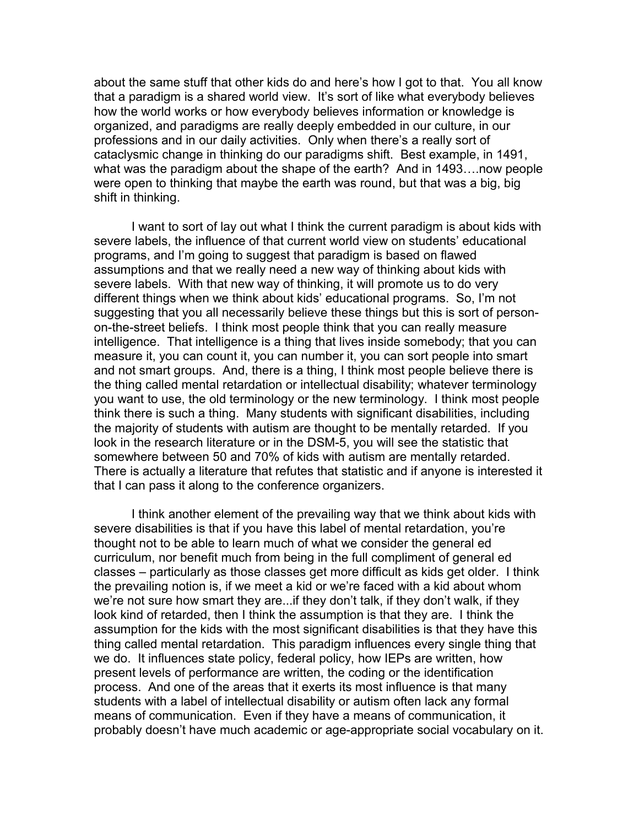about the same stuff that other kids do and here's how I got to that. You all know that a paradigm is a shared world view. It's sort of like what everybody believes how the world works or how everybody believes information or knowledge is organized, and paradigms are really deeply embedded in our culture, in our professions and in our daily activities. Only when there's a really sort of cataclysmic change in thinking do our paradigms shift. Best example, in 1491, what was the paradigm about the shape of the earth? And in 1493... now people were open to thinking that maybe the earth was round, but that was a big, big shift in thinking.

I want to sort of lay out what I think the current paradigm is about kids with severe labels, the influence of that current world view on students' educational programs, and I'm going to suggest that paradigm is based on flawed assumptions and that we really need a new way of thinking about kids with severe labels. With that new way of thinking, it will promote us to do very different things when we think about kids' educational programs. So, I'm not suggesting that you all necessarily believe these things but this is sort of personon-the-street beliefs. I think most people think that you can really measure intelligence. That intelligence is a thing that lives inside somebody; that you can measure it, you can count it, you can number it, you can sort people into smart and not smart groups. And, there is a thing, I think most people believe there is the thing called mental retardation or intellectual disability; whatever terminology you want to use, the old terminology or the new terminology. I think most people think there is such a thing. Many students with significant disabilities, including the majority of students with autism are thought to be mentally retarded. If you look in the research literature or in the DSM-5, you will see the statistic that somewhere between 50 and 70% of kids with autism are mentally retarded. There is actually a literature that refutes that statistic and if anyone is interested it that I can pass it along to the conference organizers.

I think another element of the prevailing way that we think about kids with severe disabilities is that if you have this label of mental retardation, you're thought not to be able to learn much of what we consider the general ed curriculum, nor benefit much from being in the full compliment of general ed classes – particularly as those classes get more difficult as kids get older. I think the prevailing notion is, if we meet a kid or we're faced with a kid about whom we're not sure how smart they are...if they don't talk, if they don't walk, if they look kind of retarded, then I think the assumption is that they are. I think the assumption for the kids with the most significant disabilities is that they have this thing called mental retardation. This paradigm influences every single thing that we do. It influences state policy, federal policy, how IEPs are written, how present levels of performance are written, the coding or the identification process. And one of the areas that it exerts its most influence is that many students with a label of intellectual disability or autism often lack any formal means of communication. Even if they have a means of communication, it probably doesn't have much academic or age-appropriate social vocabulary on it.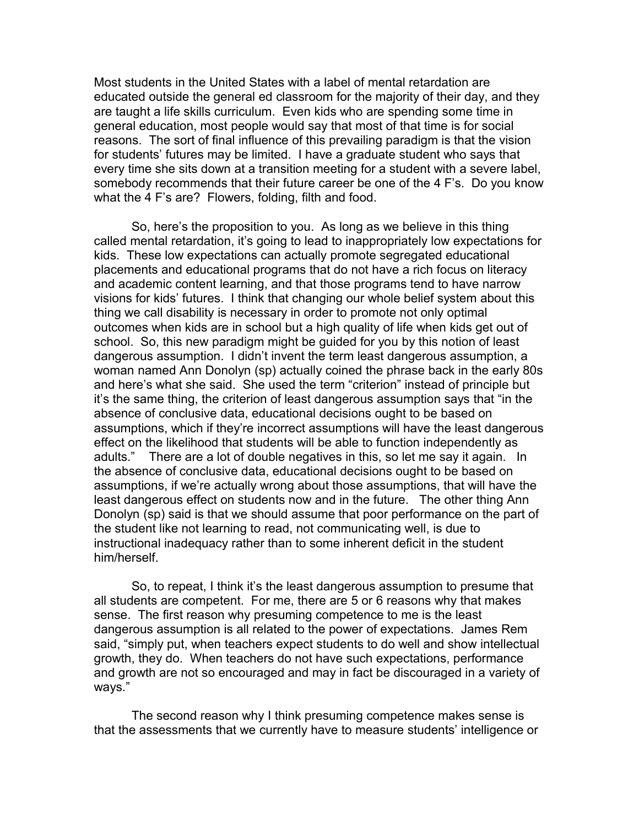Most students in the United States with a label of mental retardation are educated outside the general ed classroom for the majority of their day, and they are taught a life skills curriculum. Even kids who are spending some time in general education, most people would say that most of that time is for social reasons. The sort of final influence of this prevailing paradigm is that the vision for students' futures may be limited. I have a graduate student who says that every time she sits down at a transition meeting for a student with a severe label, somebody recommends that their future career be one of the 4 F's. Do you know what the 4 F's are? Flowers, folding, filth and food.

So, here's the proposition to you. As long as we believe in this thing called mental retardation, it's going to lead to inappropriately low expectations for kids. These low expectations can actually promote segregated educational placements and educational programs that do not have a rich focus on literacy and academic content learning, and that those programs tend to have narrow visions for kids' futures. I think that changing our whole belief system about this thing we call disability is necessary in order to promote not only optimal outcomes when kids are in school but a high quality of life when kids get out of school. So, this new paradigm might be guided for you by this notion of least dangerous assumption. I didn't invent the term least dangerous assumption, a woman named Ann Donolyn (sp) actually coined the phrase back in the early 80s and here's what she said. She used the term "criterion" instead of principle but it's the same thing, the criterion of least dangerous assumption says that "in the absence of conclusive data, educational decisions ought to be based on assumptions, which if they're incorrect assumptions will have the least dangerous effect on the likelihood that students will be able to function independently as adults." There are a lot of double negatives in this, so let me say it again. In the absence of conclusive data, educational decisions ought to be based on assumptions, if we're actually wrong about those assumptions, that will have the least dangerous effect on students now and in the future. The other thing Ann Donolyn (sp) said is that we should assume that poor performance on the part of the student like not learning to read, not communicating well, is due to instructional inadequacy rather than to some inherent deficit in the student him/herself.

So, to repeat, I think it's the least dangerous assumption to presume that all students are competent. For me, there are 5 or 6 reasons why that makes sense. The first reason why presuming competence to me is the least dangerous assumption is all related to the power of expectations. James Rem said, "simply put, when teachers expect students to do well and show intellectual growth, they do. When teachers do not have such expectations, performance and growth are not so encouraged and may in fact be discouraged in a variety of ways."

The second reason why I think presuming competence makes sense is that the assessments that we currently have to measure students' intelligence or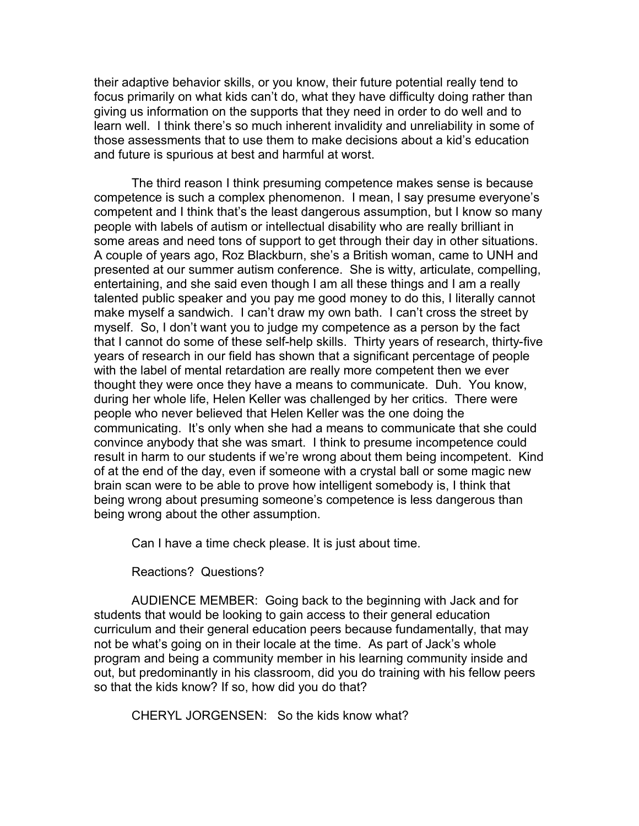their adaptive behavior skills, or you know, their future potential really tend to focus primarily on what kids can't do, what they have difficulty doing rather than giving us information on the supports that they need in order to do well and to learn well. I think there's so much inherent invalidity and unreliability in some of those assessments that to use them to make decisions about a kid's education and future is spurious at best and harmful at worst.

The third reason I think presuming competence makes sense is because competence is such a complex phenomenon. I mean, I say presume everyone's competent and I think that's the least dangerous assumption, but I know so many people with labels of autism or intellectual disability who are really brilliant in some areas and need tons of support to get through their day in other situations. A couple of years ago, Roz Blackburn, she's a British woman, came to UNH and presented at our summer autism conference. She is witty, articulate, compelling, entertaining, and she said even though I am all these things and I am a really talented public speaker and you pay me good money to do this, I literally cannot make myself a sandwich. I can't draw my own bath. I can't cross the street by myself. So, I don't want you to judge my competence as a person by the fact that I cannot do some of these self-help skills. Thirty years of research, thirty-five years of research in our field has shown that a significant percentage of people with the label of mental retardation are really more competent then we ever thought they were once they have a means to communicate. Duh. You know, during her whole life, Helen Keller was challenged by her critics. There were people who never believed that Helen Keller was the one doing the communicating. It's only when she had a means to communicate that she could convince anybody that she was smart. I think to presume incompetence could result in harm to our students if we're wrong about them being incompetent. Kind of at the end of the day, even if someone with a crystal ball or some magic new brain scan were to be able to prove how intelligent somebody is, I think that being wrong about presuming someone's competence is less dangerous than being wrong about the other assumption.

Can I have a time check please. It is just about time.

Reactions? Questions?

AUDIENCE MEMBER: Going back to the beginning with Jack and for students that would be looking to gain access to their general education curriculum and their general education peers because fundamentally, that may not be what's going on in their locale at the time. As part of Jack's whole program and being a community member in his learning community inside and out, but predominantly in his classroom, did you do training with his fellow peers so that the kids know? If so, how did you do that?

CHERYL JORGENSEN: So the kids know what?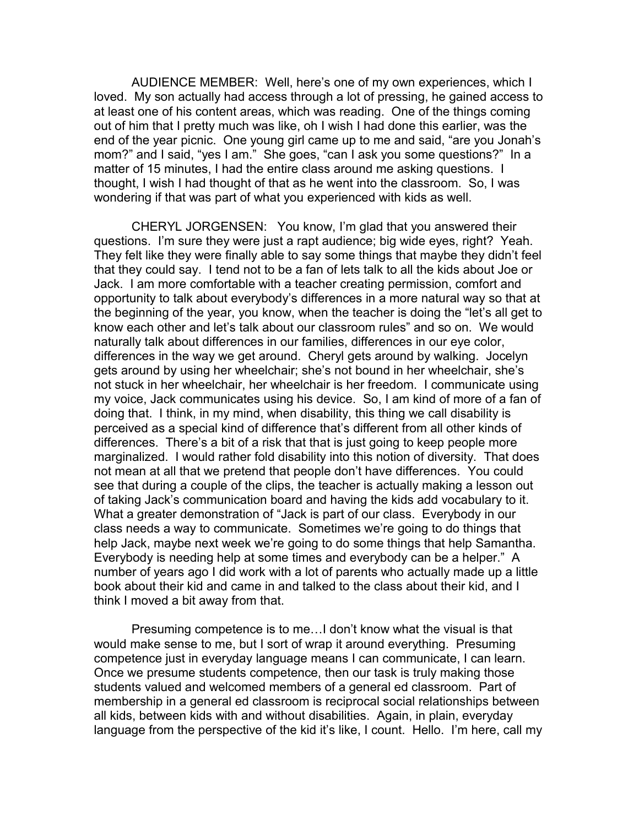AUDIENCE MEMBER: Well, here's one of my own experiences, which I loved. My son actually had access through a lot of pressing, he gained access to at least one of his content areas, which was reading. One of the things coming out of him that I pretty much was like, oh I wish I had done this earlier, was the end of the year picnic. One young girl came up to me and said, "are you Jonah's mom?" and I said, "yes I am." She goes, "can I ask you some questions?" In a matter of 15 minutes, I had the entire class around me asking questions. I thought, I wish I had thought of that as he went into the classroom. So, I was wondering if that was part of what you experienced with kids as well.

CHERYL JORGENSEN: You know, I'm glad that you answered their questions. I'm sure they were just a rapt audience; big wide eyes, right? Yeah. They felt like they were finally able to say some things that maybe they didn't feel that they could say. I tend not to be a fan of lets talk to all the kids about Joe or Jack. I am more comfortable with a teacher creating permission, comfort and opportunity to talk about everybody's differences in a more natural way so that at the beginning of the year, you know, when the teacher is doing the "let's all get to know each other and let's talk about our classroom rules" and so on. We would naturally talk about differences in our families, differences in our eye color, differences in the way we get around. Cheryl gets around by walking. Jocelyn gets around by using her wheelchair; she's not bound in her wheelchair, she's not stuck in her wheelchair, her wheelchair is her freedom. I communicate using my voice, Jack communicates using his device. So, I am kind of more of a fan of doing that. I think, in my mind, when disability, this thing we call disability is perceived as a special kind of difference that's different from all other kinds of differences. There's a bit of a risk that that is just going to keep people more marginalized. I would rather fold disability into this notion of diversity. That does not mean at all that we pretend that people don't have differences. You could see that during a couple of the clips, the teacher is actually making a lesson out of taking Jack's communication board and having the kids add vocabulary to it. What a greater demonstration of "Jack is part of our class. Everybody in our class needs a way to communicate. Sometimes we're going to do things that help Jack, maybe next week we're going to do some things that help Samantha. Everybody is needing help at some times and everybody can be a helper." A number of years ago I did work with a lot of parents who actually made up a little book about their kid and came in and talked to the class about their kid, and I think I moved a bit away from that.

Presuming competence is to me…I don't know what the visual is that would make sense to me, but I sort of wrap it around everything. Presuming competence just in everyday language means I can communicate, I can learn. Once we presume students competence, then our task is truly making those students valued and welcomed members of a general ed classroom. Part of membership in a general ed classroom is reciprocal social relationships between all kids, between kids with and without disabilities. Again, in plain, everyday language from the perspective of the kid it's like, I count. Hello. I'm here, call my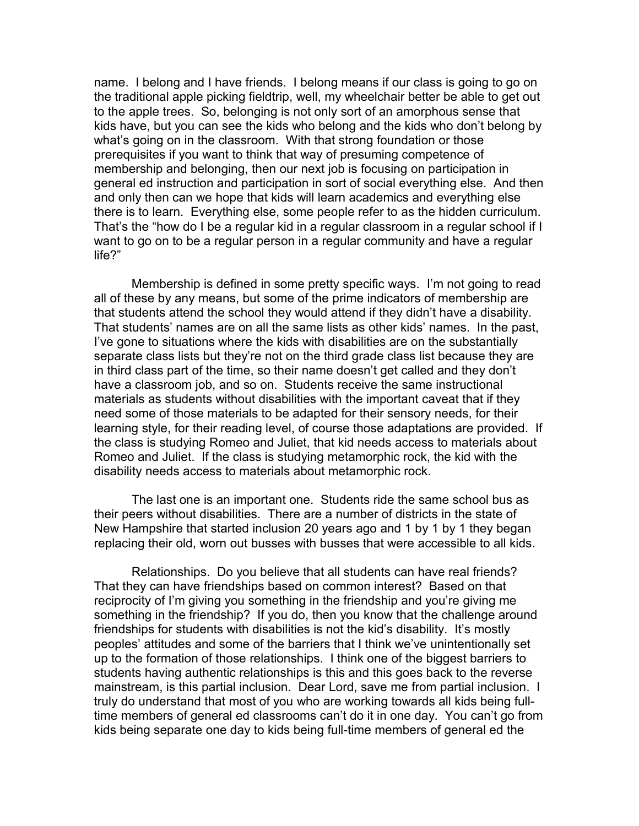name. I belong and I have friends. I belong means if our class is going to go on the traditional apple picking fieldtrip, well, my wheelchair better be able to get out to the apple trees. So, belonging is not only sort of an amorphous sense that kids have, but you can see the kids who belong and the kids who don't belong by what's going on in the classroom. With that strong foundation or those prerequisites if you want to think that way of presuming competence of membership and belonging, then our next job is focusing on participation in general ed instruction and participation in sort of social everything else. And then and only then can we hope that kids will learn academics and everything else there is to learn. Everything else, some people refer to as the hidden curriculum. That's the "how do I be a regular kid in a regular classroom in a regular school if I want to go on to be a regular person in a regular community and have a regular life?"

Membership is defined in some pretty specific ways. I'm not going to read all of these by any means, but some of the prime indicators of membership are that students attend the school they would attend if they didn't have a disability. That students' names are on all the same lists as other kids' names. In the past, I've gone to situations where the kids with disabilities are on the substantially separate class lists but they're not on the third grade class list because they are in third class part of the time, so their name doesn't get called and they don't have a classroom job, and so on. Students receive the same instructional materials as students without disabilities with the important caveat that if they need some of those materials to be adapted for their sensory needs, for their learning style, for their reading level, of course those adaptations are provided. If the class is studying Romeo and Juliet, that kid needs access to materials about Romeo and Juliet. If the class is studying metamorphic rock, the kid with the disability needs access to materials about metamorphic rock.

The last one is an important one. Students ride the same school bus as their peers without disabilities. There are a number of districts in the state of New Hampshire that started inclusion 20 years ago and 1 by 1 by 1 they began replacing their old, worn out busses with busses that were accessible to all kids.

Relationships. Do you believe that all students can have real friends? That they can have friendships based on common interest? Based on that reciprocity of I'm giving you something in the friendship and you're giving me something in the friendship? If you do, then you know that the challenge around friendships for students with disabilities is not the kid's disability. It's mostly peoples' attitudes and some of the barriers that I think we've unintentionally set up to the formation of those relationships. I think one of the biggest barriers to students having authentic relationships is this and this goes back to the reverse mainstream, is this partial inclusion. Dear Lord, save me from partial inclusion. I truly do understand that most of you who are working towards all kids being fulltime members of general ed classrooms can't do it in one day. You can't go from kids being separate one day to kids being full-time members of general ed the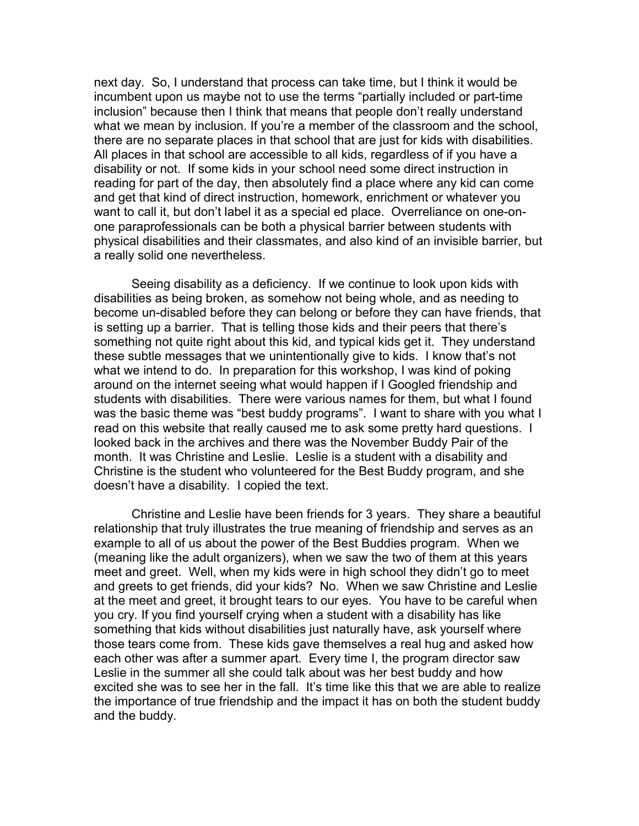next day. So, I understand that process can take time, but I think it would be incumbent upon us maybe not to use the terms "partially included or part-time inclusion" because then I think that means that people don't really understand what we mean by inclusion. If you're a member of the classroom and the school, there are no separate places in that school that are just for kids with disabilities. All places in that school are accessible to all kids, regardless of if you have a disability or not. If some kids in your school need some direct instruction in reading for part of the day, then absolutely find a place where any kid can come and get that kind of direct instruction, homework, enrichment or whatever you want to call it, but don't label it as a special ed place. Overreliance on one-onone paraprofessionals can be both a physical barrier between students with physical disabilities and their classmates, and also kind of an invisible barrier, but a really solid one nevertheless.

Seeing disability as a deficiency. If we continue to look upon kids with disabilities as being broken, as somehow not being whole, and as needing to become un-disabled before they can belong or before they can have friends, that is setting up a barrier. That is telling those kids and their peers that there's something not quite right about this kid, and typical kids get it. They understand these subtle messages that we unintentionally give to kids. I know that's not what we intend to do. In preparation for this workshop, I was kind of poking around on the internet seeing what would happen if I Googled friendship and students with disabilities. There were various names for them, but what I found was the basic theme was "best buddy programs". I want to share with you what I read on this website that really caused me to ask some pretty hard questions. I looked back in the archives and there was the November Buddy Pair of the month. It was Christine and Leslie. Leslie is a student with a disability and Christine is the student who volunteered for the Best Buddy program, and she doesn't have a disability. I copied the text.

Christine and Leslie have been friends for 3 years. They share a beautiful relationship that truly illustrates the true meaning of friendship and serves as an example to all of us about the power of the Best Buddies program. When we (meaning like the adult organizers), when we saw the two of them at this years meet and greet. Well, when my kids were in high school they didn't go to meet and greets to get friends, did your kids? No. When we saw Christine and Leslie at the meet and greet, it brought tears to our eyes. You have to be careful when you cry. If you find yourself crying when a student with a disability has like something that kids without disabilities just naturally have, ask yourself where those tears come from. These kids gave themselves a real hug and asked how each other was after a summer apart. Every time I, the program director saw Leslie in the summer all she could talk about was her best buddy and how excited she was to see her in the fall. It's time like this that we are able to realize the importance of true friendship and the impact it has on both the student buddy and the buddy.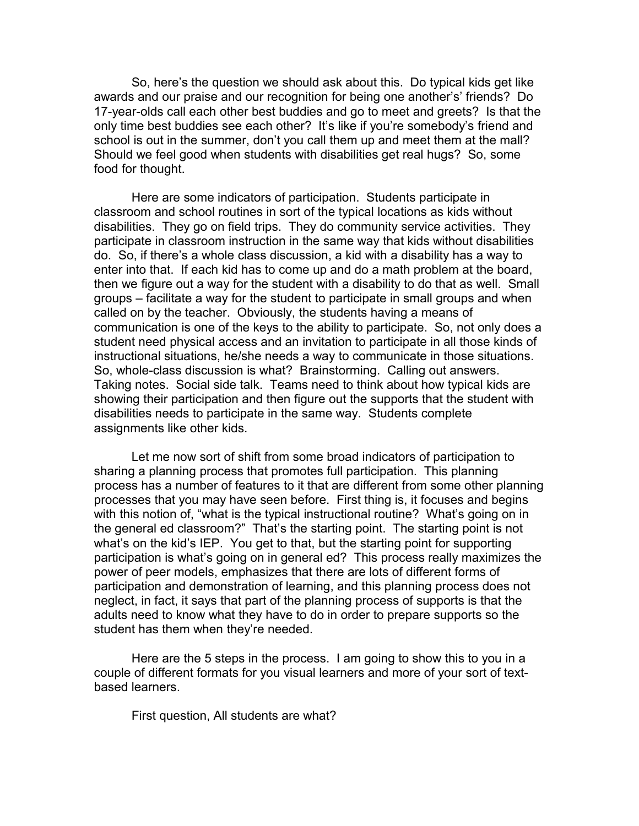So, here's the question we should ask about this. Do typical kids get like awards and our praise and our recognition for being one another's' friends? Do 17-year-olds call each other best buddies and go to meet and greets? Is that the only time best buddies see each other? It's like if you're somebody's friend and school is out in the summer, don't you call them up and meet them at the mall? Should we feel good when students with disabilities get real hugs? So, some food for thought.

Here are some indicators of participation. Students participate in classroom and school routines in sort of the typical locations as kids without disabilities. They go on field trips. They do community service activities. They participate in classroom instruction in the same way that kids without disabilities do. So, if there's a whole class discussion, a kid with a disability has a way to enter into that. If each kid has to come up and do a math problem at the board, then we figure out a way for the student with a disability to do that as well. Small groups – facilitate a way for the student to participate in small groups and when called on by the teacher. Obviously, the students having a means of communication is one of the keys to the ability to participate. So, not only does a student need physical access and an invitation to participate in all those kinds of instructional situations, he/she needs a way to communicate in those situations. So, whole-class discussion is what? Brainstorming. Calling out answers. Taking notes. Social side talk. Teams need to think about how typical kids are showing their participation and then figure out the supports that the student with disabilities needs to participate in the same way. Students complete assignments like other kids.

Let me now sort of shift from some broad indicators of participation to sharing a planning process that promotes full participation. This planning process has a number of features to it that are different from some other planning processes that you may have seen before. First thing is, it focuses and begins with this notion of, "what is the typical instructional routine? What's going on in the general ed classroom?" That's the starting point. The starting point is not what's on the kid's IEP. You get to that, but the starting point for supporting participation is what's going on in general ed? This process really maximizes the power of peer models, emphasizes that there are lots of different forms of participation and demonstration of learning, and this planning process does not neglect, in fact, it says that part of the planning process of supports is that the adults need to know what they have to do in order to prepare supports so the student has them when they're needed.

Here are the 5 steps in the process. I am going to show this to you in a couple of different formats for you visual learners and more of your sort of textbased learners.

First question, All students are what?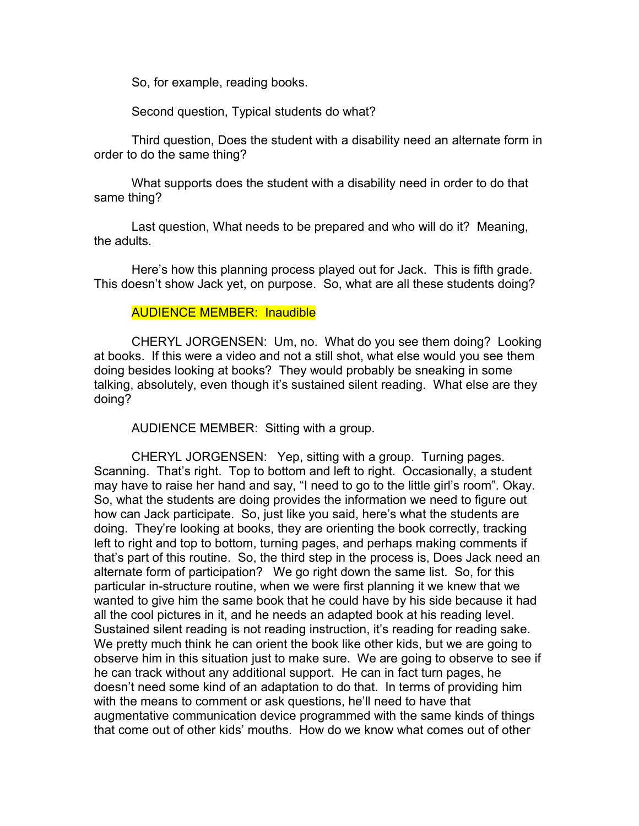So, for example, reading books.

Second question, Typical students do what?

Third question, Does the student with a disability need an alternate form in order to do the same thing?

What supports does the student with a disability need in order to do that same thing?

Last question, What needs to be prepared and who will do it? Meaning, the adults.

Here's how this planning process played out for Jack. This is fifth grade. This doesn't show Jack yet, on purpose. So, what are all these students doing?

### AUDIENCE MEMBER: Inaudible

CHERYL JORGENSEN: Um, no. What do you see them doing? Looking at books. If this were a video and not a still shot, what else would you see them doing besides looking at books? They would probably be sneaking in some talking, absolutely, even though it's sustained silent reading. What else are they doing?

AUDIENCE MEMBER: Sitting with a group.

CHERYL JORGENSEN: Yep, sitting with a group. Turning pages. Scanning. That's right. Top to bottom and left to right. Occasionally, a student may have to raise her hand and say, "I need to go to the little girl's room". Okay. So, what the students are doing provides the information we need to figure out how can Jack participate. So, just like you said, here's what the students are doing. They're looking at books, they are orienting the book correctly, tracking left to right and top to bottom, turning pages, and perhaps making comments if that's part of this routine. So, the third step in the process is, Does Jack need an alternate form of participation? We go right down the same list. So, for this particular in-structure routine, when we were first planning it we knew that we wanted to give him the same book that he could have by his side because it had all the cool pictures in it, and he needs an adapted book at his reading level. Sustained silent reading is not reading instruction, it's reading for reading sake. We pretty much think he can orient the book like other kids, but we are going to observe him in this situation just to make sure. We are going to observe to see if he can track without any additional support. He can in fact turn pages, he doesn't need some kind of an adaptation to do that. In terms of providing him with the means to comment or ask questions, he'll need to have that augmentative communication device programmed with the same kinds of things that come out of other kids' mouths. How do we know what comes out of other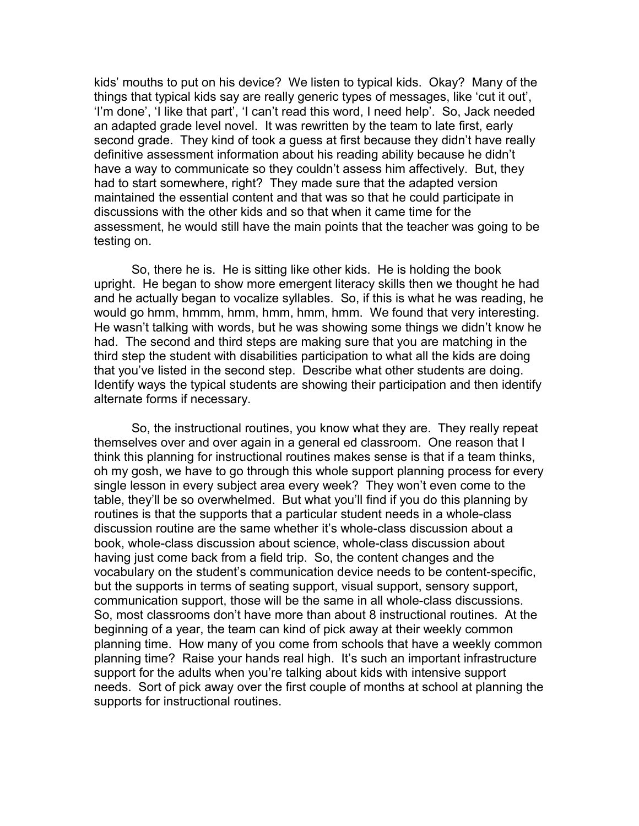kids' mouths to put on his device? We listen to typical kids. Okay? Many of the things that typical kids say are really generic types of messages, like 'cut it out', 'I'm done', 'I like that part', 'I can't read this word, I need help'. So, Jack needed an adapted grade level novel. It was rewritten by the team to late first, early second grade. They kind of took a guess at first because they didn't have really definitive assessment information about his reading ability because he didn't have a way to communicate so they couldn't assess him affectively. But, they had to start somewhere, right? They made sure that the adapted version maintained the essential content and that was so that he could participate in discussions with the other kids and so that when it came time for the assessment, he would still have the main points that the teacher was going to be testing on.

So, there he is. He is sitting like other kids. He is holding the book upright. He began to show more emergent literacy skills then we thought he had and he actually began to vocalize syllables. So, if this is what he was reading, he would go hmm, hmmm, hmm, hmm, hmm, hmm. We found that very interesting. He wasn't talking with words, but he was showing some things we didn't know he had. The second and third steps are making sure that you are matching in the third step the student with disabilities participation to what all the kids are doing that you've listed in the second step. Describe what other students are doing. Identify ways the typical students are showing their participation and then identify alternate forms if necessary.

So, the instructional routines, you know what they are. They really repeat themselves over and over again in a general ed classroom. One reason that I think this planning for instructional routines makes sense is that if a team thinks, oh my gosh, we have to go through this whole support planning process for every single lesson in every subject area every week? They won't even come to the table, they'll be so overwhelmed. But what you'll find if you do this planning by routines is that the supports that a particular student needs in a whole-class discussion routine are the same whether it's whole-class discussion about a book, whole-class discussion about science, whole-class discussion about having just come back from a field trip. So, the content changes and the vocabulary on the student's communication device needs to be content-specific, but the supports in terms of seating support, visual support, sensory support, communication support, those will be the same in all whole-class discussions. So, most classrooms don't have more than about 8 instructional routines. At the beginning of a year, the team can kind of pick away at their weekly common planning time. How many of you come from schools that have a weekly common planning time? Raise your hands real high. It's such an important infrastructure support for the adults when you're talking about kids with intensive support needs. Sort of pick away over the first couple of months at school at planning the supports for instructional routines.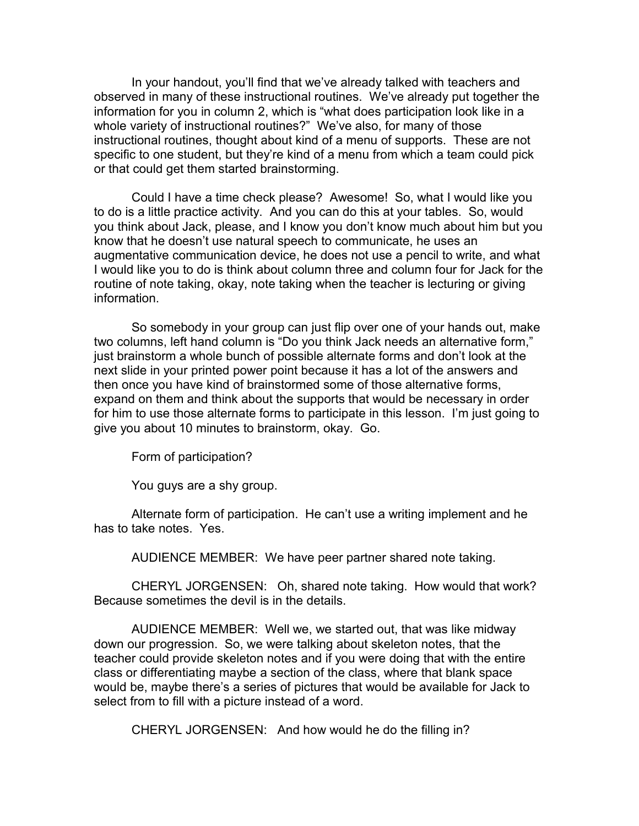In your handout, you'll find that we've already talked with teachers and observed in many of these instructional routines. We've already put together the information for you in column 2, which is "what does participation look like in a whole variety of instructional routines?" We've also, for many of those instructional routines, thought about kind of a menu of supports. These are not specific to one student, but they're kind of a menu from which a team could pick or that could get them started brainstorming.

Could I have a time check please? Awesome! So, what I would like you to do is a little practice activity. And you can do this at your tables. So, would you think about Jack, please, and I know you don't know much about him but you know that he doesn't use natural speech to communicate, he uses an augmentative communication device, he does not use a pencil to write, and what I would like you to do is think about column three and column four for Jack for the routine of note taking, okay, note taking when the teacher is lecturing or giving information.

So somebody in your group can just flip over one of your hands out, make two columns, left hand column is "Do you think Jack needs an alternative form," just brainstorm a whole bunch of possible alternate forms and don't look at the next slide in your printed power point because it has a lot of the answers and then once you have kind of brainstormed some of those alternative forms, expand on them and think about the supports that would be necessary in order for him to use those alternate forms to participate in this lesson. I'm just going to give you about 10 minutes to brainstorm, okay. Go.

Form of participation?

You guys are a shy group.

Alternate form of participation. He can't use a writing implement and he has to take notes. Yes.

AUDIENCE MEMBER: We have peer partner shared note taking.

CHERYL JORGENSEN: Oh, shared note taking. How would that work? Because sometimes the devil is in the details.

AUDIENCE MEMBER: Well we, we started out, that was like midway down our progression. So, we were talking about skeleton notes, that the teacher could provide skeleton notes and if you were doing that with the entire class or differentiating maybe a section of the class, where that blank space would be, maybe there's a series of pictures that would be available for Jack to select from to fill with a picture instead of a word.

CHERYL JORGENSEN: And how would he do the filling in?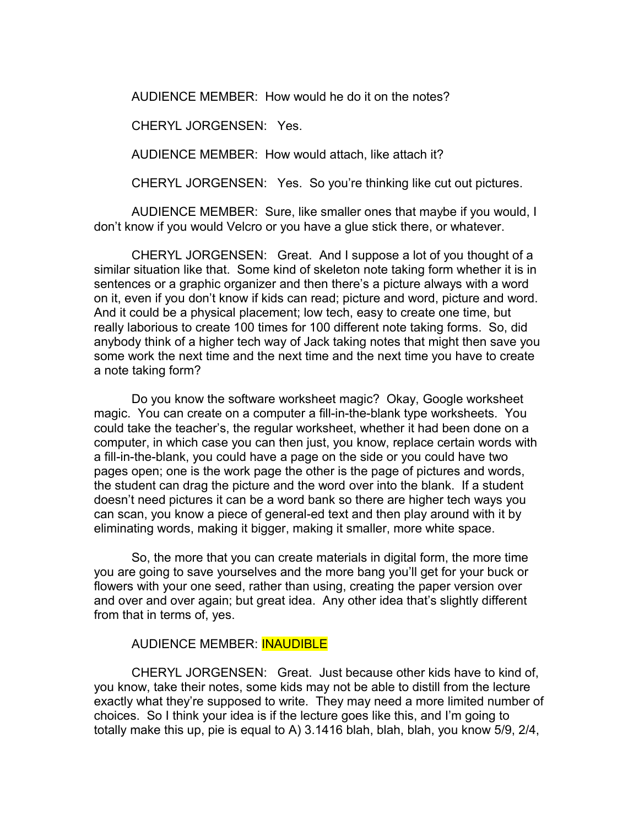AUDIENCE MEMBER: How would he do it on the notes?

CHERYL JORGENSEN: Yes.

AUDIENCE MEMBER: How would attach, like attach it?

CHERYL JORGENSEN: Yes. So you're thinking like cut out pictures.

AUDIENCE MEMBER: Sure, like smaller ones that maybe if you would, I don't know if you would Velcro or you have a glue stick there, or whatever.

CHERYL JORGENSEN: Great. And I suppose a lot of you thought of a similar situation like that. Some kind of skeleton note taking form whether it is in sentences or a graphic organizer and then there's a picture always with a word on it, even if you don't know if kids can read; picture and word, picture and word. And it could be a physical placement; low tech, easy to create one time, but really laborious to create 100 times for 100 different note taking forms. So, did anybody think of a higher tech way of Jack taking notes that might then save you some work the next time and the next time and the next time you have to create a note taking form?

Do you know the software worksheet magic? Okay, Google worksheet magic. You can create on a computer a fill-in-the-blank type worksheets. You could take the teacher's, the regular worksheet, whether it had been done on a computer, in which case you can then just, you know, replace certain words with a fill-in-the-blank, you could have a page on the side or you could have two pages open; one is the work page the other is the page of pictures and words, the student can drag the picture and the word over into the blank. If a student doesn't need pictures it can be a word bank so there are higher tech ways you can scan, you know a piece of general-ed text and then play around with it by eliminating words, making it bigger, making it smaller, more white space.

So, the more that you can create materials in digital form, the more time you are going to save yourselves and the more bang you'll get for your buck or flowers with your one seed, rather than using, creating the paper version over and over and over again; but great idea. Any other idea that's slightly different from that in terms of, yes.

### AUDIENCE MEMBER: INAUDIBLE

CHERYL JORGENSEN: Great. Just because other kids have to kind of, you know, take their notes, some kids may not be able to distill from the lecture exactly what they're supposed to write. They may need a more limited number of choices. So I think your idea is if the lecture goes like this, and I'm going to totally make this up, pie is equal to A) 3.1416 blah, blah, blah, you know 5/9, 2/4,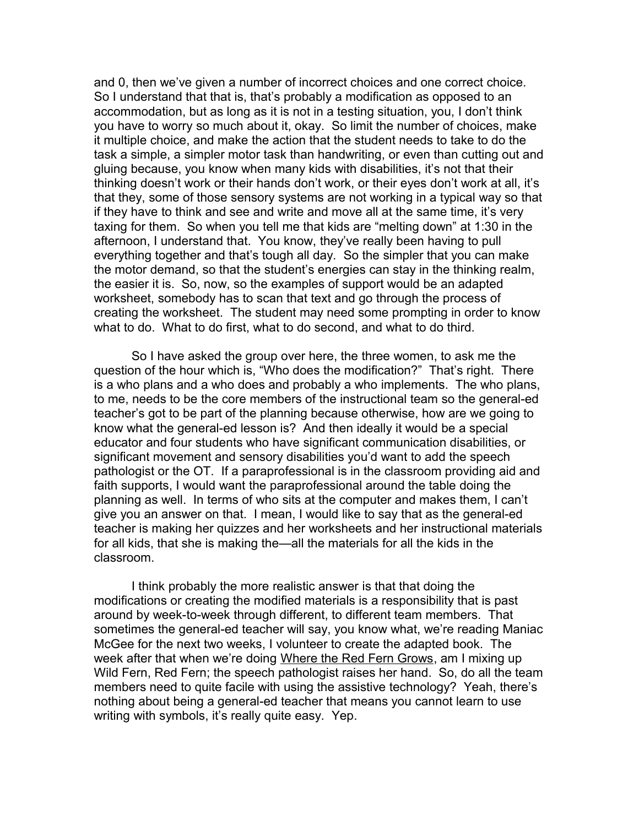and 0, then we've given a number of incorrect choices and one correct choice. So I understand that that is, that's probably a modification as opposed to an accommodation, but as long as it is not in a testing situation, you, I don't think you have to worry so much about it, okay. So limit the number of choices, make it multiple choice, and make the action that the student needs to take to do the task a simple, a simpler motor task than handwriting, or even than cutting out and gluing because, you know when many kids with disabilities, it's not that their thinking doesn't work or their hands don't work, or their eyes don't work at all, it's that they, some of those sensory systems are not working in a typical way so that if they have to think and see and write and move all at the same time, it's very taxing for them. So when you tell me that kids are "melting down" at 1:30 in the afternoon, I understand that. You know, they've really been having to pull everything together and that's tough all day. So the simpler that you can make the motor demand, so that the student's energies can stay in the thinking realm, the easier it is. So, now, so the examples of support would be an adapted worksheet, somebody has to scan that text and go through the process of creating the worksheet. The student may need some prompting in order to know what to do. What to do first, what to do second, and what to do third.

So I have asked the group over here, the three women, to ask me the question of the hour which is, "Who does the modification?" That's right. There is a who plans and a who does and probably a who implements. The who plans, to me, needs to be the core members of the instructional team so the general-ed teacher's got to be part of the planning because otherwise, how are we going to know what the general-ed lesson is? And then ideally it would be a special educator and four students who have significant communication disabilities, or significant movement and sensory disabilities you'd want to add the speech pathologist or the OT. If a paraprofessional is in the classroom providing aid and faith supports, I would want the paraprofessional around the table doing the planning as well. In terms of who sits at the computer and makes them, I can't give you an answer on that. I mean, I would like to say that as the general-ed teacher is making her quizzes and her worksheets and her instructional materials for all kids, that she is making the—all the materials for all the kids in the classroom.

I think probably the more realistic answer is that that doing the modifications or creating the modified materials is a responsibility that is past around by week-to-week through different, to different team members. That sometimes the general-ed teacher will say, you know what, we're reading Maniac McGee for the next two weeks, I volunteer to create the adapted book. The week after that when we're doing Where the Red Fern Grows, am I mixing up Wild Fern, Red Fern; the speech pathologist raises her hand. So, do all the team members need to quite facile with using the assistive technology? Yeah, there's nothing about being a general-ed teacher that means you cannot learn to use writing with symbols, it's really quite easy. Yep.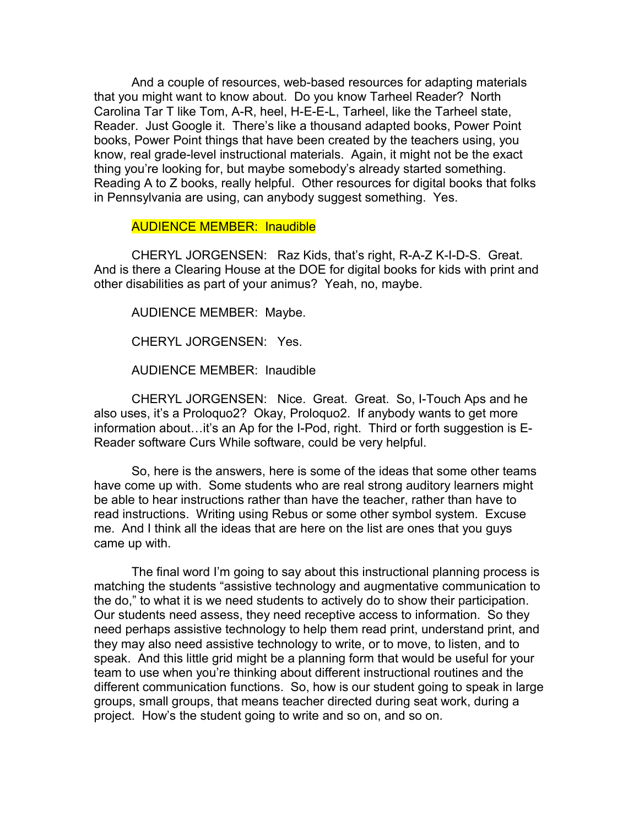And a couple of resources, web-based resources for adapting materials that you might want to know about. Do you know Tarheel Reader? North Carolina Tar T like Tom, A-R, heel, H-E-E-L, Tarheel, like the Tarheel state, Reader. Just Google it. There's like a thousand adapted books, Power Point books, Power Point things that have been created by the teachers using, you know, real grade-level instructional materials. Again, it might not be the exact thing you're looking for, but maybe somebody's already started something. Reading A to Z books, really helpful. Other resources for digital books that folks in Pennsylvania are using, can anybody suggest something. Yes.

#### AUDIENCE MEMBER: Inaudible

CHERYL JORGENSEN: Raz Kids, that's right, R-A-Z K-I-D-S. Great. And is there a Clearing House at the DOE for digital books for kids with print and other disabilities as part of your animus? Yeah, no, maybe.

AUDIENCE MEMBER: Maybe.

CHERYL JORGENSEN: Yes.

AUDIENCE MEMBER: Inaudible

CHERYL JORGENSEN: Nice. Great. Great. So, I-Touch Aps and he also uses, it's a Proloquo2? Okay, Proloquo2. If anybody wants to get more information about…it's an Ap for the I-Pod, right. Third or forth suggestion is E-Reader software Curs While software, could be very helpful.

So, here is the answers, here is some of the ideas that some other teams have come up with. Some students who are real strong auditory learners might be able to hear instructions rather than have the teacher, rather than have to read instructions. Writing using Rebus or some other symbol system. Excuse me. And I think all the ideas that are here on the list are ones that you guys came up with.

The final word I'm going to say about this instructional planning process is matching the students "assistive technology and augmentative communication to the do," to what it is we need students to actively do to show their participation. Our students need assess, they need receptive access to information. So they need perhaps assistive technology to help them read print, understand print, and they may also need assistive technology to write, or to move, to listen, and to speak. And this little grid might be a planning form that would be useful for your team to use when you're thinking about different instructional routines and the different communication functions. So, how is our student going to speak in large groups, small groups, that means teacher directed during seat work, during a project. How's the student going to write and so on, and so on.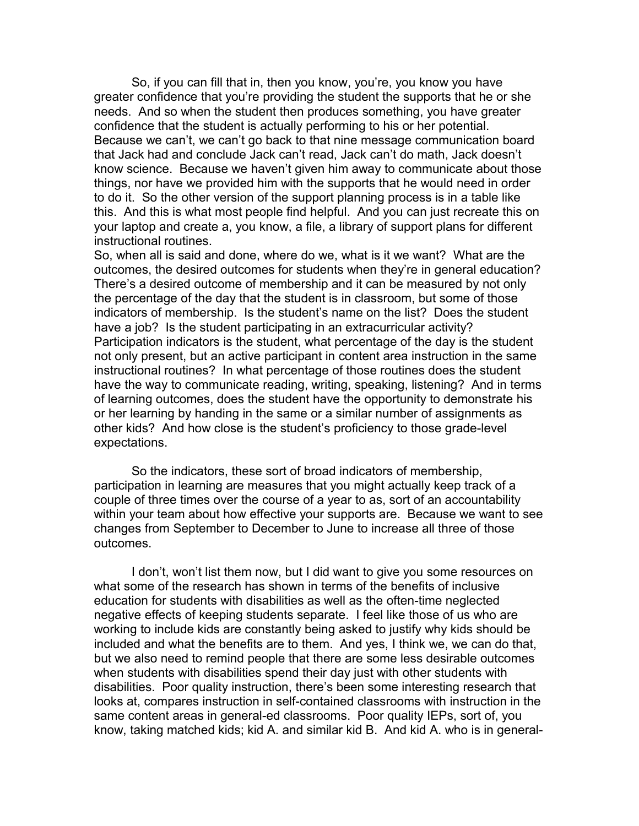So, if you can fill that in, then you know, you're, you know you have greater confidence that you're providing the student the supports that he or she needs. And so when the student then produces something, you have greater confidence that the student is actually performing to his or her potential. Because we can't, we can't go back to that nine message communication board that Jack had and conclude Jack can't read, Jack can't do math, Jack doesn't know science. Because we haven't given him away to communicate about those things, nor have we provided him with the supports that he would need in order to do it. So the other version of the support planning process is in a table like this. And this is what most people find helpful. And you can just recreate this on your laptop and create a, you know, a file, a library of support plans for different instructional routines.

So, when all is said and done, where do we, what is it we want? What are the outcomes, the desired outcomes for students when they're in general education? There's a desired outcome of membership and it can be measured by not only the percentage of the day that the student is in classroom, but some of those indicators of membership. Is the student's name on the list? Does the student have a job? Is the student participating in an extracurricular activity? Participation indicators is the student, what percentage of the day is the student not only present, but an active participant in content area instruction in the same instructional routines? In what percentage of those routines does the student have the way to communicate reading, writing, speaking, listening? And in terms of learning outcomes, does the student have the opportunity to demonstrate his or her learning by handing in the same or a similar number of assignments as other kids? And how close is the student's proficiency to those grade-level expectations.

So the indicators, these sort of broad indicators of membership, participation in learning are measures that you might actually keep track of a couple of three times over the course of a year to as, sort of an accountability within your team about how effective your supports are. Because we want to see changes from September to December to June to increase all three of those outcomes.

I don't, won't list them now, but I did want to give you some resources on what some of the research has shown in terms of the benefits of inclusive education for students with disabilities as well as the often-time neglected negative effects of keeping students separate. I feel like those of us who are working to include kids are constantly being asked to justify why kids should be included and what the benefits are to them. And yes, I think we, we can do that, but we also need to remind people that there are some less desirable outcomes when students with disabilities spend their day just with other students with disabilities. Poor quality instruction, there's been some interesting research that looks at, compares instruction in self-contained classrooms with instruction in the same content areas in general-ed classrooms. Poor quality IEPs, sort of, you know, taking matched kids; kid A. and similar kid B. And kid A. who is in general-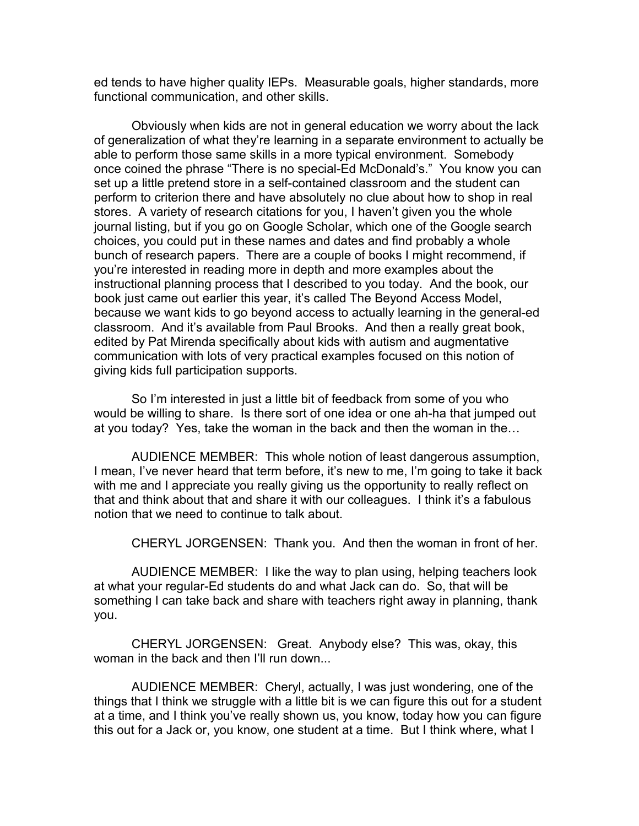ed tends to have higher quality IEPs. Measurable goals, higher standards, more functional communication, and other skills.

Obviously when kids are not in general education we worry about the lack of generalization of what they're learning in a separate environment to actually be able to perform those same skills in a more typical environment. Somebody once coined the phrase "There is no special-Ed McDonald's." You know you can set up a little pretend store in a self-contained classroom and the student can perform to criterion there and have absolutely no clue about how to shop in real stores. A variety of research citations for you, I haven't given you the whole journal listing, but if you go on Google Scholar, which one of the Google search choices, you could put in these names and dates and find probably a whole bunch of research papers. There are a couple of books I might recommend, if you're interested in reading more in depth and more examples about the instructional planning process that I described to you today. And the book, our book just came out earlier this year, it's called The Beyond Access Model, because we want kids to go beyond access to actually learning in the general-ed classroom. And it's available from Paul Brooks. And then a really great book, edited by Pat Mirenda specifically about kids with autism and augmentative communication with lots of very practical examples focused on this notion of giving kids full participation supports.

So I'm interested in just a little bit of feedback from some of you who would be willing to share. Is there sort of one idea or one ah-ha that jumped out at you today? Yes, take the woman in the back and then the woman in the…

AUDIENCE MEMBER: This whole notion of least dangerous assumption, I mean, I've never heard that term before, it's new to me, I'm going to take it back with me and I appreciate you really giving us the opportunity to really reflect on that and think about that and share it with our colleagues. I think it's a fabulous notion that we need to continue to talk about.

CHERYL JORGENSEN: Thank you. And then the woman in front of her.

AUDIENCE MEMBER: I like the way to plan using, helping teachers look at what your regular-Ed students do and what Jack can do. So, that will be something I can take back and share with teachers right away in planning, thank you.

CHERYL JORGENSEN: Great. Anybody else? This was, okay, this woman in the back and then I'll run down...

AUDIENCE MEMBER: Cheryl, actually, I was just wondering, one of the things that I think we struggle with a little bit is we can figure this out for a student at a time, and I think you've really shown us, you know, today how you can figure this out for a Jack or, you know, one student at a time. But I think where, what I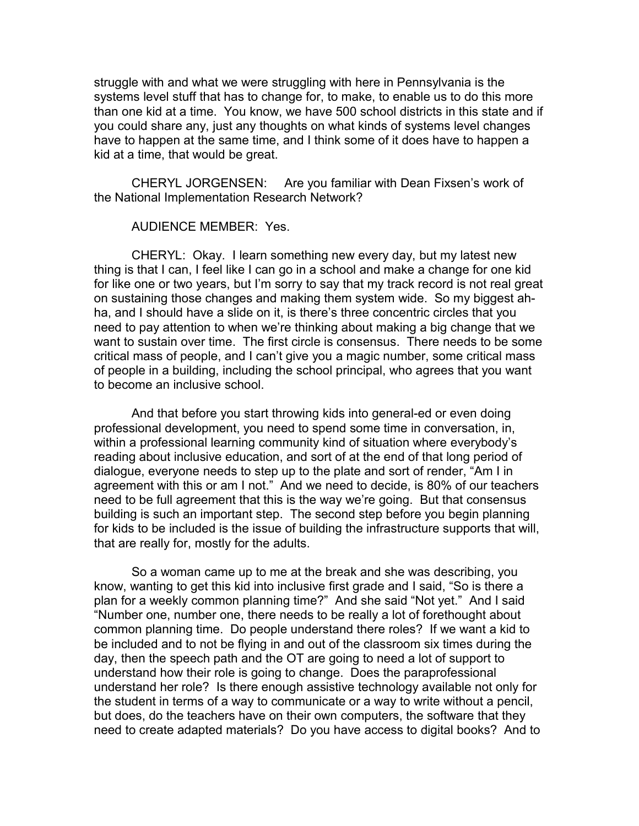struggle with and what we were struggling with here in Pennsylvania is the systems level stuff that has to change for, to make, to enable us to do this more than one kid at a time. You know, we have 500 school districts in this state and if you could share any, just any thoughts on what kinds of systems level changes have to happen at the same time, and I think some of it does have to happen a kid at a time, that would be great.

CHERYL JORGENSEN: Are you familiar with Dean Fixsen's work of the National Implementation Research Network?

AUDIENCE MEMBER: Yes.

CHERYL: Okay. I learn something new every day, but my latest new thing is that I can, I feel like I can go in a school and make a change for one kid for like one or two years, but I'm sorry to say that my track record is not real great on sustaining those changes and making them system wide. So my biggest ahha, and I should have a slide on it, is there's three concentric circles that you need to pay attention to when we're thinking about making a big change that we want to sustain over time. The first circle is consensus. There needs to be some critical mass of people, and I can't give you a magic number, some critical mass of people in a building, including the school principal, who agrees that you want to become an inclusive school.

And that before you start throwing kids into general-ed or even doing professional development, you need to spend some time in conversation, in, within a professional learning community kind of situation where everybody's reading about inclusive education, and sort of at the end of that long period of dialogue, everyone needs to step up to the plate and sort of render, "Am I in agreement with this or am I not." And we need to decide, is 80% of our teachers need to be full agreement that this is the way we're going. But that consensus building is such an important step. The second step before you begin planning for kids to be included is the issue of building the infrastructure supports that will, that are really for, mostly for the adults.

So a woman came up to me at the break and she was describing, you know, wanting to get this kid into inclusive first grade and I said, "So is there a plan for a weekly common planning time?" And she said "Not yet." And I said "Number one, number one, there needs to be really a lot of forethought about common planning time. Do people understand there roles? If we want a kid to be included and to not be flying in and out of the classroom six times during the day, then the speech path and the OT are going to need a lot of support to understand how their role is going to change. Does the paraprofessional understand her role? Is there enough assistive technology available not only for the student in terms of a way to communicate or a way to write without a pencil, but does, do the teachers have on their own computers, the software that they need to create adapted materials? Do you have access to digital books? And to